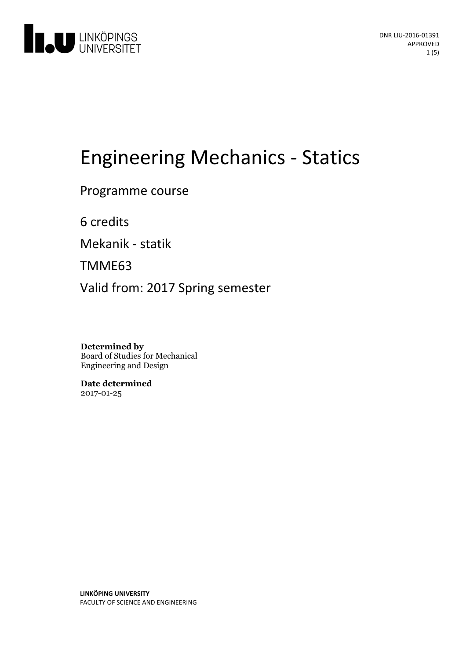

# **Engineering Mechanics - Statics**

Programme course

6 credits

Mekanik - statik

TMME63

Valid from: 2017 Spring semester

**Determined by** Board of Studies for Mechanical Engineering and Design

**Date determined** 2017-01-25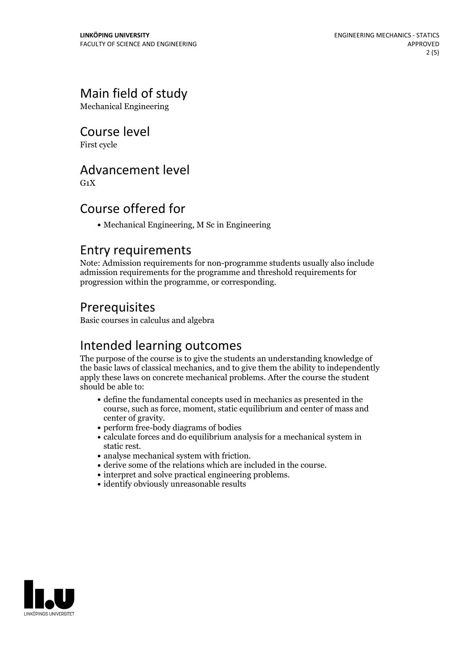# Main field of study

Mechanical Engineering

## Course level

First cycle

#### Advancement level

 $G_1X$ 

## Course offered for

Mechanical Engineering, M Sc in Engineering

#### Entry requirements

Note: Admission requirements for non-programme students usually also include admission requirements for the programme and threshold requirements for progression within the programme, or corresponding.

## Prerequisites

Basic courses in calculus and algebra

## Intended learning outcomes

The purpose of the course is to give the students an understanding knowledge of the basic laws of classical mechanics, and to give them the ability to independently apply these laws on concrete mechanical problems. After the course the student should be able to:

- define the fundamental concepts used in mechanics as presented in the course, such as force, moment, static equilibrium and center of mass and center of gravity.<br>• perform free-body diagrams of bodies
- 
- calculate forces and do equilibrium analysis for a mechanical system in
- 
- analyse mechanical system with friction.<br>• derive some of the relations which are included in the course.<br>• interpret and solve practical engineering problems.<br>• identify obviously unreasonable results
- 
- 

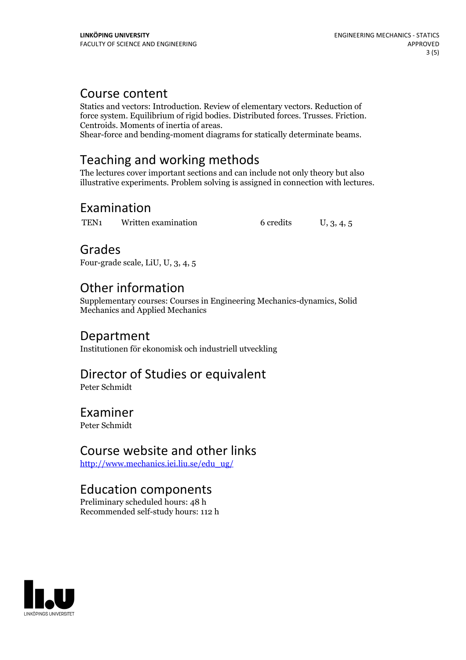#### Course content

Statics and vectors: Introduction. Review of elementary vectors. Reduction of force system. Equilibrium of rigid bodies. Distributed forces. Trusses. Friction. Centroids. Moments of inertia of areas. Shear-force and bending-moment diagrams for statically determinate beams.

## Teaching and working methods

The lectures cover important sections and can include not only theory but also illustrative experiments. Problem solving is assigned in connection with lectures.

#### Examination

TEN<sub>1</sub> Written examination 6 credits U, 3, 4, 5

#### Grades

Four-grade scale, LiU, U, 3, 4, 5

## Other information

Supplementary courses: Courses in Engineering Mechanics-dynamics, Solid Mechanics and Applied Mechanics

#### Department

Institutionen för ekonomisk och industriell utveckling

# Director of Studies or equivalent

Peter Schmidt

#### Examiner

Peter Schmidt

## Course website and other links

[http://www.mechanics.iei.liu.se/edu\\_ug/](http://www.mechanics.iei.liu.se/edu_ug/)

## Education components

Preliminary scheduled hours: 48 h Recommended self-study hours: 112 h

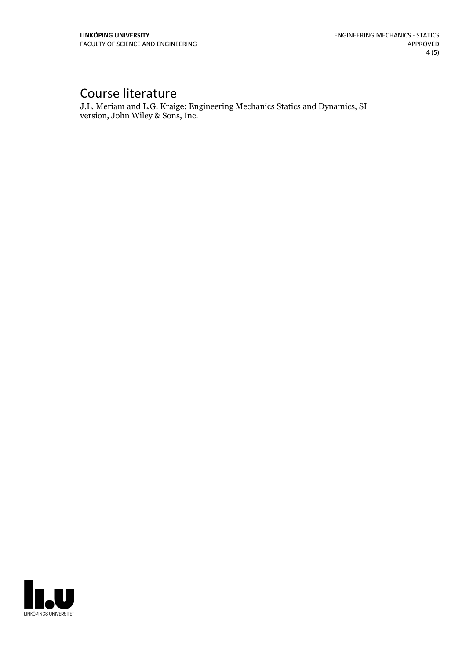# Course literature

J.L. Meriam and L.G. Kraige: Engineering Mechanics Statics and Dynamics, SI version, John Wiley & Sons, Inc.